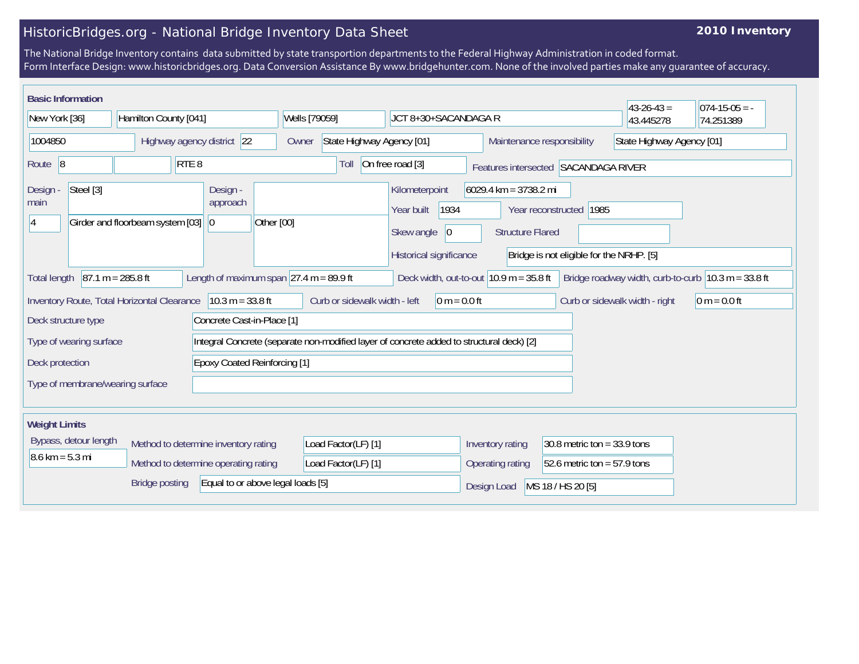## HistoricBridges.org - National Bridge Inventory Data Sheet

## **2010 Inventory**

The National Bridge Inventory contains data submitted by state transportion departments to the Federal Highway Administration in coded format. Form Interface Design: www.historicbridges.org. Data Conversion Assistance By www.bridgehunter.com. None of the involved parties make any guarantee of accuracy.

| <b>Basic Information</b>                                                                                                                                                                                               |                                  |                                          |                                                                                          |                                                                                              |                                                    |                                                                       | $43 - 26 - 43 =$               | $ 074-15-05 = -$ |
|------------------------------------------------------------------------------------------------------------------------------------------------------------------------------------------------------------------------|----------------------------------|------------------------------------------|------------------------------------------------------------------------------------------|----------------------------------------------------------------------------------------------|----------------------------------------------------|-----------------------------------------------------------------------|--------------------------------|------------------|
| New York [36]                                                                                                                                                                                                          | Hamilton County [041]            |                                          | Wells [79059]                                                                            | JCT 8+30+SACANDAGA R                                                                         |                                                    |                                                                       | 43.445278                      | 74.251389        |
| Highway agency district 22<br>1004850                                                                                                                                                                                  |                                  | Owner                                    | State Highway Agency [01]<br>Maintenance responsibility                                  |                                                                                              | State Highway Agency [01]                          |                                                                       |                                |                  |
| Route 8                                                                                                                                                                                                                | RTE <sub>8</sub>                 |                                          | Toll                                                                                     | On free road [3]                                                                             | Features intersected SACANDAGA RIVER               |                                                                       |                                |                  |
| Steel [3]<br>Design -<br>main<br>14                                                                                                                                                                                    | Girder and floorbeam system [03] | Design -<br>approach<br>Other [00]<br>10 |                                                                                          | Kilometerpoint<br>1934<br>Year built<br>Skew angle<br>$ 0\rangle$<br>Historical significance | $6029.4$ km = 3738.2 mi<br><b>Structure Flared</b> | Year reconstructed   1985<br>Bridge is not eligible for the NRHP. [5] |                                |                  |
| $87.1 m = 285.8 ft$<br>Length of maximum span $\sqrt{27.4}$ m = 89.9 ft<br>Deck width, out-to-out $10.9$ m = 35.8 ft<br>Bridge roadway width, curb-to-curb $ 10.3 \text{ m} = 33.8 \text{ ft} $<br><b>Total length</b> |                                  |                                          |                                                                                          |                                                                                              |                                                    |                                                                       |                                |                  |
| Inventory Route, Total Horizontal Clearance                                                                                                                                                                            |                                  | $10.3 m = 33.8 ft$                       | Curb or sidewalk width - left                                                            | $0 m = 0.0 ft$                                                                               |                                                    |                                                                       | Curb or sidewalk width - right | $ 0 m = 0.0 ft$  |
| Deck structure type<br>Concrete Cast-in-Place [1]                                                                                                                                                                      |                                  |                                          |                                                                                          |                                                                                              |                                                    |                                                                       |                                |                  |
| Type of wearing surface                                                                                                                                                                                                |                                  |                                          | Integral Concrete (separate non-modified layer of concrete added to structural deck) [2] |                                                                                              |                                                    |                                                                       |                                |                  |
| Deck protection                                                                                                                                                                                                        |                                  | <b>Epoxy Coated Reinforcing [1]</b>      |                                                                                          |                                                                                              |                                                    |                                                                       |                                |                  |
| Type of membrane/wearing surface                                                                                                                                                                                       |                                  |                                          |                                                                                          |                                                                                              |                                                    |                                                                       |                                |                  |
| <b>Weight Limits</b>                                                                                                                                                                                                   |                                  |                                          |                                                                                          |                                                                                              |                                                    |                                                                       |                                |                  |
| Bypass, detour length                                                                                                                                                                                                  |                                  | Method to determine inventory rating     | Load Factor(LF) [1]                                                                      |                                                                                              | Inventory rating                                   | 30.8 metric ton = $33.9$ tons                                         |                                |                  |
| $8.6 \text{ km} = 5.3 \text{ mi}$<br>Method to determine operating rating                                                                                                                                              |                                  | Load Factor(LF) [1]                      |                                                                                          | Operating rating                                                                             | 52.6 metric ton = $57.9$ tons                      |                                                                       |                                |                  |
|                                                                                                                                                                                                                        | <b>Bridge posting</b>            | Equal to or above legal loads [5]        |                                                                                          |                                                                                              | Design Load                                        | MS 18 / HS 20 [5]                                                     |                                |                  |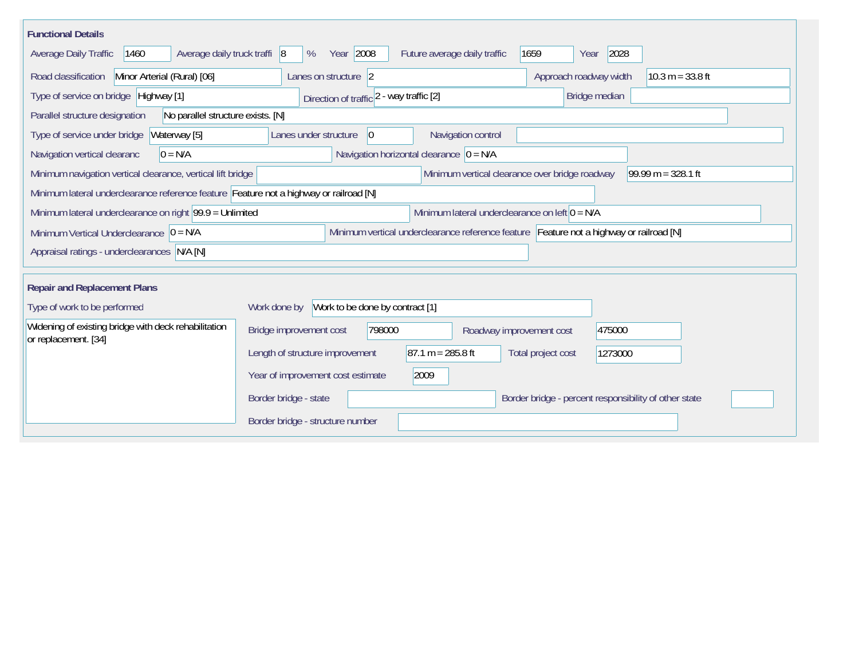| <b>Functional Details</b>                                                                                                  |                                                                                                                |  |  |  |  |  |  |
|----------------------------------------------------------------------------------------------------------------------------|----------------------------------------------------------------------------------------------------------------|--|--|--|--|--|--|
| 1460<br>Average daily truck traffi 8<br>Average Daily Traffic                                                              | Year 2008<br>2028<br>Future average daily traffic<br>1659<br>%<br>Year                                         |  |  |  |  |  |  |
| Minor Arterial (Rural) [06]<br>Road classification<br>Approach roadway width<br>$10.3 m = 33.8 ft$<br>Lanes on structure 2 |                                                                                                                |  |  |  |  |  |  |
| Type of service on bridge Highway [1]                                                                                      | Bridge median<br>Direction of traffic 2 - way traffic [2]                                                      |  |  |  |  |  |  |
| No parallel structure exists. [N]<br>Parallel structure designation                                                        |                                                                                                                |  |  |  |  |  |  |
| Type of service under bridge<br>Waterway [5]                                                                               | Navigation control<br>Lanes under structure<br>$\overline{0}$                                                  |  |  |  |  |  |  |
| $0 = N/A$<br>Navigation vertical clearanc                                                                                  | Navigation horizontal clearance $ 0 = N/A$                                                                     |  |  |  |  |  |  |
| Minimum navigation vertical clearance, vertical lift bridge                                                                | Minimum vertical clearance over bridge roadway<br>$99.99 m = 328.1 ft$                                         |  |  |  |  |  |  |
| Minimum lateral underclearance reference feature Feature not a highway or railroad [N]                                     |                                                                                                                |  |  |  |  |  |  |
|                                                                                                                            | Minimum lateral underclearance on right $99.9 =$ Unlimited<br>Minimum lateral underclearance on left $0 = N/A$ |  |  |  |  |  |  |
| Minimum Vertical Underclearance $ 0 = N/A$                                                                                 | Minimum vertical underclearance reference feature Feature not a highway or railroad [N]                        |  |  |  |  |  |  |
| Appraisal ratings - underclearances N/A [N]                                                                                |                                                                                                                |  |  |  |  |  |  |
|                                                                                                                            |                                                                                                                |  |  |  |  |  |  |
| <b>Repair and Replacement Plans</b>                                                                                        |                                                                                                                |  |  |  |  |  |  |
| Type of work to be performed                                                                                               | Work to be done by contract [1]<br>Work done by                                                                |  |  |  |  |  |  |
| Widening of existing bridge with deck rehabilitation<br>or replacement. [34]                                               | 798000<br>475000<br>Bridge improvement cost<br>Roadway improvement cost                                        |  |  |  |  |  |  |
|                                                                                                                            | $87.1 m = 285.8 ft$<br>Length of structure improvement<br>Total project cost<br>1273000                        |  |  |  |  |  |  |
|                                                                                                                            | 2009<br>Year of improvement cost estimate                                                                      |  |  |  |  |  |  |
|                                                                                                                            | Border bridge - state<br>Border bridge - percent responsibility of other state                                 |  |  |  |  |  |  |
|                                                                                                                            | Border bridge - structure number                                                                               |  |  |  |  |  |  |